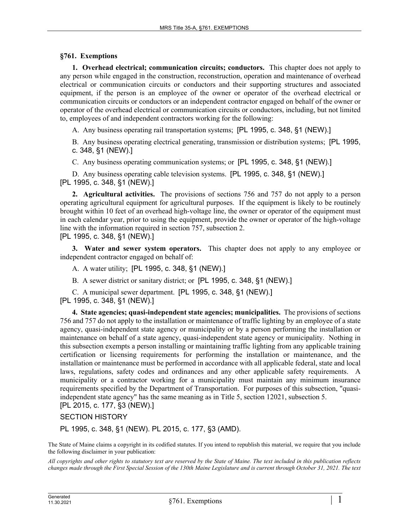## **§761. Exemptions**

**1. Overhead electrical; communication circuits; conductors.** This chapter does not apply to any person while engaged in the construction, reconstruction, operation and maintenance of overhead electrical or communication circuits or conductors and their supporting structures and associated equipment, if the person is an employee of the owner or operator of the overhead electrical or communication circuits or conductors or an independent contractor engaged on behalf of the owner or operator of the overhead electrical or communication circuits or conductors, including, but not limited to, employees of and independent contractors working for the following:

A. Any business operating rail transportation systems; [PL 1995, c. 348, §1 (NEW).]

B. Any business operating electrical generating, transmission or distribution systems; [PL 1995, c. 348, §1 (NEW).]

C. Any business operating communication systems; or [PL 1995, c. 348, §1 (NEW).]

D. Any business operating cable television systems. [PL 1995, c. 348, §1 (NEW).] [PL 1995, c. 348, §1 (NEW).]

**2. Agricultural activities.** The provisions of sections 756 and 757 do not apply to a person operating agricultural equipment for agricultural purposes. If the equipment is likely to be routinely brought within 10 feet of an overhead high-voltage line, the owner or operator of the equipment must in each calendar year, prior to using the equipment, provide the owner or operator of the high-voltage line with the information required in section 757, subsection 2. [PL 1995, c. 348, §1 (NEW).]

**3. Water and sewer system operators.** This chapter does not apply to any employee or independent contractor engaged on behalf of:

A. A water utility; [PL 1995, c. 348, §1 (NEW).]

B. A sewer district or sanitary district; or [PL 1995, c. 348, §1 (NEW).]

C. A municipal sewer department. [PL 1995, c. 348, §1 (NEW).] [PL 1995, c. 348, §1 (NEW).]

**4. State agencies; quasi-independent state agencies; municipalities.** The provisions of sections 756 and 757 do not apply to the installation or maintenance of traffic lighting by an employee of a state agency, quasi-independent state agency or municipality or by a person performing the installation or maintenance on behalf of a state agency, quasi-independent state agency or municipality. Nothing in this subsection exempts a person installing or maintaining traffic lighting from any applicable training certification or licensing requirements for performing the installation or maintenance, and the installation or maintenance must be performed in accordance with all applicable federal, state and local laws, regulations, safety codes and ordinances and any other applicable safety requirements. A municipality or a contractor working for a municipality must maintain any minimum insurance requirements specified by the Department of Transportation. For purposes of this subsection, "quasiindependent state agency" has the same meaning as in Title 5, section 12021, subsection 5. [PL 2015, c. 177, §3 (NEW).]

SECTION HISTORY

PL 1995, c. 348, §1 (NEW). PL 2015, c. 177, §3 (AMD).

The State of Maine claims a copyright in its codified statutes. If you intend to republish this material, we require that you include the following disclaimer in your publication:

*All copyrights and other rights to statutory text are reserved by the State of Maine. The text included in this publication reflects changes made through the First Special Session of the 130th Maine Legislature and is current through October 31, 2021. The text*